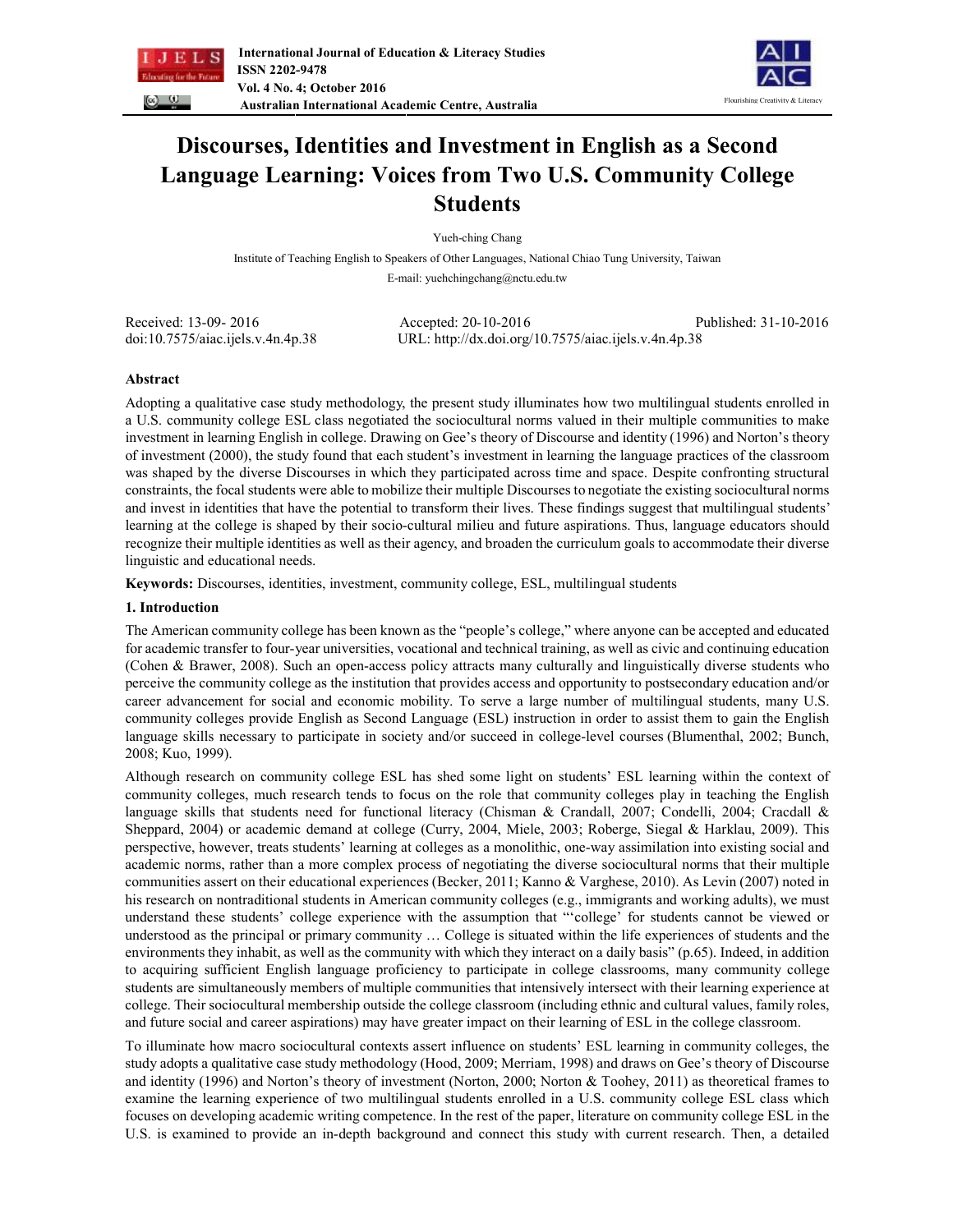



# **Discourses, Identities and Investment in English as a Second Language Learning: Voices from Two U.S. Community College Students**

Yueh-ching Chang

Institute of Teaching English to Speakers of Other Languages, National Chiao Tung University, Taiwan E-mail: yuehchingchang@nctu.edu.tw

| Received: 13-09- 2016             | Accepted: $20-10-2016$                               | Published: 31-10-2016 |
|-----------------------------------|------------------------------------------------------|-----------------------|
| doi:10.7575/aiac.ijels.v.4n.4p.38 | URL: http://dx.doi.org/10.7575/aiac.ijels.v.4n.4p.38 |                       |

# **Abstract**

Adopting a qualitative case study methodology, the present study illuminates how two multilingual students enrolled in a U.S. community college ESL class negotiated the sociocultural norms valued in their multiple communities to make investment in learning English in college. Drawing on Gee's theory of Discourse and identity (1996) and Norton's theory of investment (2000), the study found that each student's investment in learning the language practices of the classroom was shaped by the diverse Discourses in which they participated across time and space. Despite confronting structural constraints, the focal students were able to mobilize their multiple Discourses to negotiate the existing sociocultural norms and invest in identities that have the potential to transform their lives. These findings suggest that multilingual students' learning at the college is shaped by their socio-cultural milieu and future aspirations. Thus, language educators should recognize their multiple identities as well as their agency, and broaden the curriculum goals to accommodate their diverse linguistic and educational needs.

**Keywords:** Discourses, identities, investment, community college, ESL, multilingual students

# **1. Introduction**

The American community college has been known as the "people's college," where anyone can be accepted and educated for academic transfer to four-year universities, vocational and technical training, as well as civic and continuing education (Cohen & Brawer, 2008). Such an open-access policy attracts many culturally and linguistically diverse students who perceive the community college as the institution that provides access and opportunity to postsecondary education and/or career advancement for social and economic mobility. To serve a large number of multilingual students, many U.S. community colleges provide English as Second Language (ESL) instruction in order to assist them to gain the English language skills necessary to participate in society and/or succeed in college-level courses (Blumenthal, 2002; Bunch, 2008; Kuo, 1999).

Although research on community college ESL has shed some light on students' ESL learning within the context of community colleges, much research tends to focus on the role that community colleges play in teaching the English language skills that students need for functional literacy (Chisman & Crandall, 2007; Condelli, 2004; Cracdall & Sheppard, 2004) or academic demand at college (Curry, 2004, Miele, 2003; Roberge, Siegal & Harklau, 2009). This perspective, however, treats students' learning at colleges as a monolithic, one-way assimilation into existing social and academic norms, rather than a more complex process of negotiating the diverse sociocultural norms that their multiple communities assert on their educational experiences (Becker, 2011; Kanno & Varghese, 2010). As Levin (2007) noted in his research on nontraditional students in American community colleges (e.g., immigrants and working adults), we must understand these students' college experience with the assumption that "'college' for students cannot be viewed or understood as the principal or primary community … College is situated within the life experiences of students and the environments they inhabit, as well as the community with which they interact on a daily basis" (p.65). Indeed, in addition to acquiring sufficient English language proficiency to participate in college classrooms, many community college students are simultaneously members of multiple communities that intensively intersect with their learning experience at college. Their sociocultural membership outside the college classroom (including ethnic and cultural values, family roles, and future social and career aspirations) may have greater impact on their learning of ESL in the college classroom.

To illuminate how macro sociocultural contexts assert influence on students' ESL learning in community colleges, the study adopts a qualitative case study methodology (Hood, 2009; Merriam, 1998) and draws on Gee's theory of Discourse and identity (1996) and Norton's theory of investment (Norton, 2000; Norton & Toohey, 2011) as theoretical frames to examine the learning experience of two multilingual students enrolled in a U.S. community college ESL class which focuses on developing academic writing competence. In the rest of the paper, literature on community college ESL in the U.S. is examined to provide an in-depth background and connect this study with current research. Then, a detailed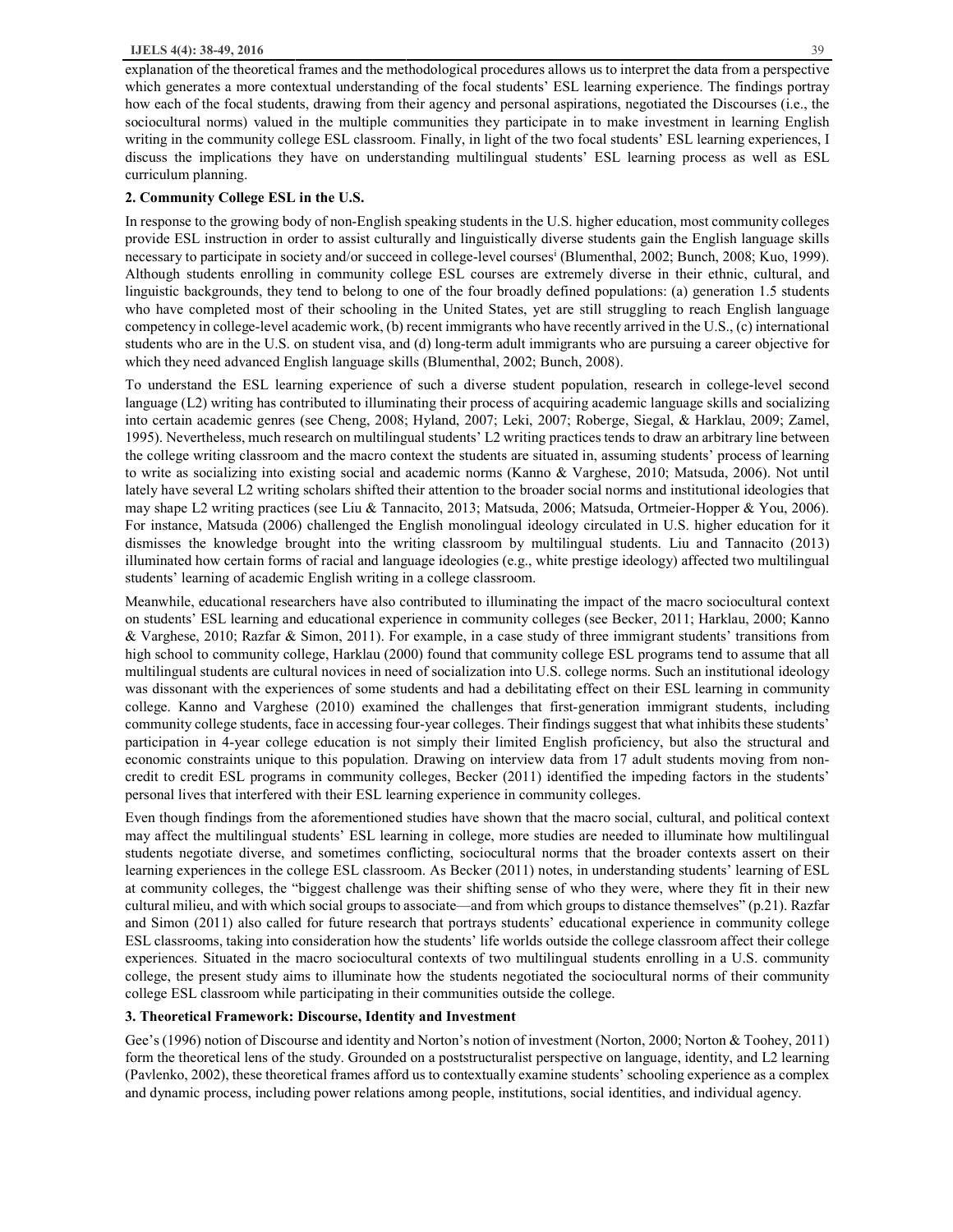explanation of the theoretical frames and the methodological procedures allows us to interpret the data from a perspective which generates a more contextual understanding of the focal students' ESL learning experience. The findings portray how each of the focal students, drawing from their agency and personal aspirations, negotiated the Discourses (i.e., the sociocultural norms) valued in the multiple communities they participate in to make investment in learning English writing in the community college ESL classroom. Finally, in light of the two focal students' ESL learning experiences, I discuss the implications they have on understanding multilingual students' ESL learning process as well as ESL curriculum planning.

# **2. Community College ESL in the U.S.**

In response to the growing body of non-English speaking students in the U.S. higher education, most community colleges provide ESL instruction in order to assist culturally and linguistically diverse students gain the English language skills necessary to participate in society and/or succeed in college-level courses<sup>i</sup> (Blumenthal, 2002; Bunch, 2008; Kuo, 1999). Although students enrolling in community college ESL courses are extremely diverse in their ethnic, cultural, and linguistic backgrounds, they tend to belong to one of the four broadly defined populations: (a) generation 1.5 students who have completed most of their schooling in the United States, yet are still struggling to reach English language competency in college-level academic work, (b) recent immigrants who have recently arrived in the U.S., (c) international students who are in the U.S. on student visa, and (d) long-term adult immigrants who are pursuing a career objective for which they need advanced English language skills (Blumenthal, 2002; Bunch, 2008).

To understand the ESL learning experience of such a diverse student population, research in college-level second language (L2) writing has contributed to illuminating their process of acquiring academic language skills and socializing into certain academic genres (see Cheng, 2008; Hyland, 2007; Leki, 2007; Roberge, Siegal, & Harklau, 2009; Zamel, 1995). Nevertheless, much research on multilingual students' L2 writing practices tends to draw an arbitrary line between the college writing classroom and the macro context the students are situated in, assuming students' process of learning to write as socializing into existing social and academic norms (Kanno & Varghese, 2010; Matsuda, 2006). Not until lately have several L2 writing scholars shifted their attention to the broader social norms and institutional ideologies that may shape L2 writing practices (see Liu & Tannacito, 2013; Matsuda, 2006; Matsuda, Ortmeier-Hopper & You, 2006). For instance, Matsuda (2006) challenged the English monolingual ideology circulated in U.S. higher education for it dismisses the knowledge brought into the writing classroom by multilingual students. Liu and Tannacito (2013) illuminated how certain forms of racial and language ideologies (e.g., white prestige ideology) affected two multilingual students' learning of academic English writing in a college classroom.

Meanwhile, educational researchers have also contributed to illuminating the impact of the macro sociocultural context on students' ESL learning and educational experience in community colleges (see Becker, 2011; Harklau, 2000; Kanno & Varghese, 2010; Razfar & Simon, 2011). For example, in a case study of three immigrant students' transitions from high school to community college, Harklau (2000) found that community college ESL programs tend to assume that all multilingual students are cultural novices in need of socialization into U.S. college norms. Such an institutional ideology was dissonant with the experiences of some students and had a debilitating effect on their ESL learning in community college. Kanno and Varghese (2010) examined the challenges that first-generation immigrant students, including community college students, face in accessing four-year colleges. Their findings suggest that what inhibits these students' participation in 4-year college education is not simply their limited English proficiency, but also the structural and economic constraints unique to this population. Drawing on interview data from 17 adult students moving from noncredit to credit ESL programs in community colleges, Becker (2011) identified the impeding factors in the students' personal lives that interfered with their ESL learning experience in community colleges.

Even though findings from the aforementioned studies have shown that the macro social, cultural, and political context may affect the multilingual students' ESL learning in college, more studies are needed to illuminate how multilingual students negotiate diverse, and sometimes conflicting, sociocultural norms that the broader contexts assert on their learning experiences in the college ESL classroom. As Becker (2011) notes, in understanding students' learning of ESL at community colleges, the "biggest challenge was their shifting sense of who they were, where they fit in their new cultural milieu, and with which social groups to associate—and from which groups to distance themselves" (p.21). Razfar and Simon (2011) also called for future research that portrays students' educational experience in community college ESL classrooms, taking into consideration how the students' life worlds outside the college classroom affect their college experiences. Situated in the macro sociocultural contexts of two multilingual students enrolling in a U.S. community college, the present study aims to illuminate how the students negotiated the sociocultural norms of their community college ESL classroom while participating in their communities outside the college.

#### **3. Theoretical Framework: Discourse, Identity and Investment**

Gee's (1996) notion of Discourse and identity and Norton's notion of investment (Norton, 2000; Norton & Toohey, 2011) form the theoretical lens of the study. Grounded on a poststructuralist perspective on language, identity, and L2 learning (Pavlenko, 2002), these theoretical frames afford us to contextually examine students' schooling experience as a complex and dynamic process, including power relations among people, institutions, social identities, and individual agency.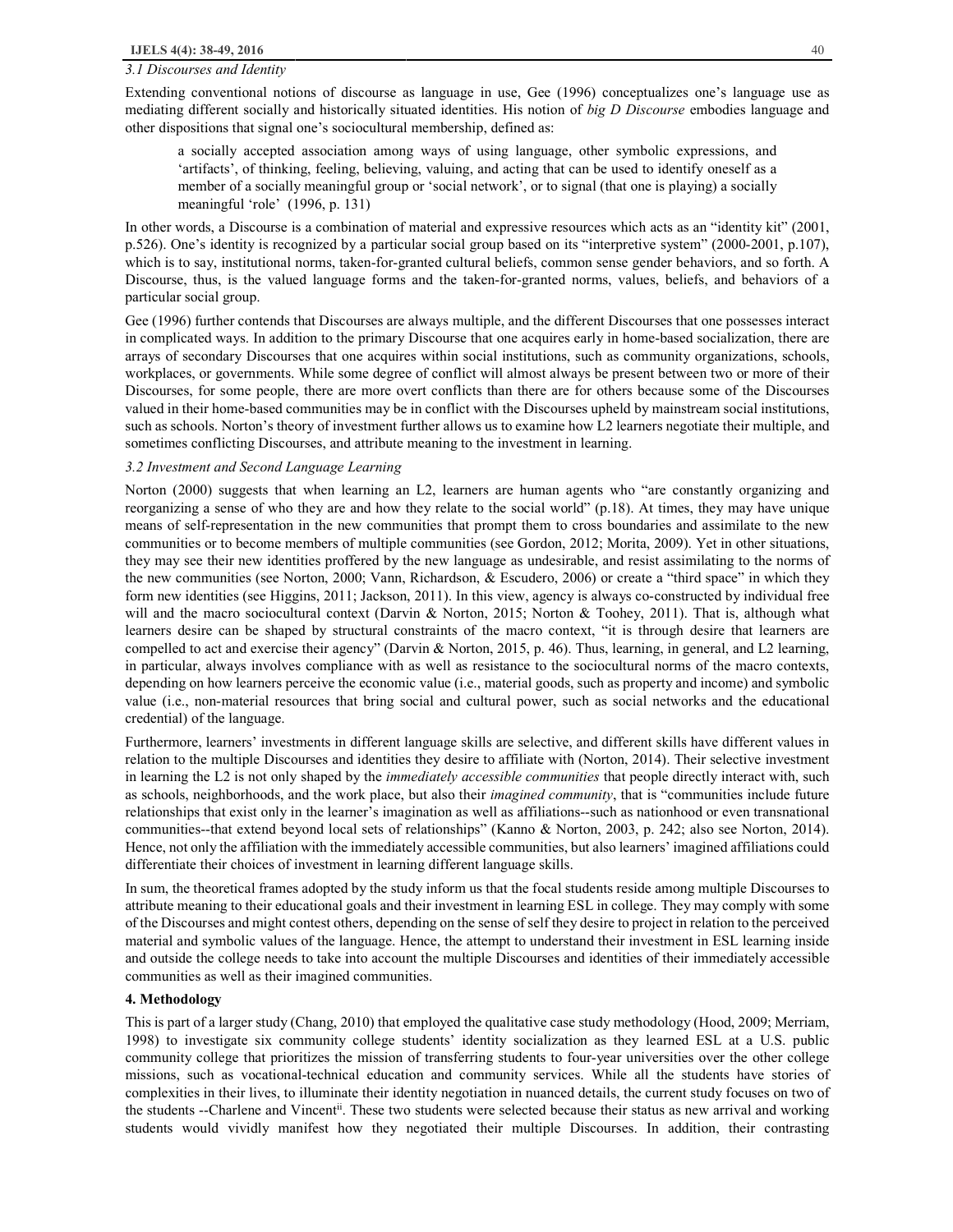### *3.1 Discourses and Identity*

Extending conventional notions of discourse as language in use, Gee (1996) conceptualizes one's language use as mediating different socially and historically situated identities. His notion of *big D Discourse* embodies language and other dispositions that signal one's sociocultural membership, defined as:

a socially accepted association among ways of using language, other symbolic expressions, and 'artifacts', of thinking, feeling, believing, valuing, and acting that can be used to identify oneself as a member of a socially meaningful group or 'social network', or to signal (that one is playing) a socially meaningful 'role' (1996, p. 131)

In other words, a Discourse is a combination of material and expressive resources which acts as an "identity kit" (2001, p.526). One's identity is recognized by a particular social group based on its "interpretive system" (2000-2001, p.107), which is to say, institutional norms, taken-for-granted cultural beliefs, common sense gender behaviors, and so forth. A Discourse, thus, is the valued language forms and the taken-for-granted norms, values, beliefs, and behaviors of a particular social group.

Gee (1996) further contends that Discourses are always multiple, and the different Discourses that one possesses interact in complicated ways. In addition to the primary Discourse that one acquires early in home-based socialization, there are arrays of secondary Discourses that one acquires within social institutions, such as community organizations, schools, workplaces, or governments. While some degree of conflict will almost always be present between two or more of their Discourses, for some people, there are more overt conflicts than there are for others because some of the Discourses valued in their home-based communities may be in conflict with the Discourses upheld by mainstream social institutions, such as schools. Norton's theory of investment further allows us to examine how L2 learners negotiate their multiple, and sometimes conflicting Discourses, and attribute meaning to the investment in learning.

## *3.2 Investment and Second Language Learning*

Norton (2000) suggests that when learning an L2, learners are human agents who "are constantly organizing and reorganizing a sense of who they are and how they relate to the social world" (p.18). At times, they may have unique means of self-representation in the new communities that prompt them to cross boundaries and assimilate to the new communities or to become members of multiple communities (see Gordon, 2012; Morita, 2009). Yet in other situations, they may see their new identities proffered by the new language as undesirable, and resist assimilating to the norms of the new communities (see Norton, 2000; Vann, Richardson, & Escudero, 2006) or create a "third space" in which they form new identities (see Higgins, 2011; Jackson, 2011). In this view, agency is always co-constructed by individual free will and the macro sociocultural context (Darvin & Norton, 2015; Norton & Toohey, 2011). That is, although what learners desire can be shaped by structural constraints of the macro context, "it is through desire that learners are compelled to act and exercise their agency" (Darvin & Norton, 2015, p. 46). Thus, learning, in general, and L2 learning, in particular, always involves compliance with as well as resistance to the sociocultural norms of the macro contexts, depending on how learners perceive the economic value (i.e., material goods, such as property and income) and symbolic value (i.e., non-material resources that bring social and cultural power, such as social networks and the educational credential) of the language.

Furthermore, learners' investments in different language skills are selective, and different skills have different values in relation to the multiple Discourses and identities they desire to affiliate with (Norton, 2014). Their selective investment in learning the L2 is not only shaped by the *immediately accessible communities* that people directly interact with, such as schools, neighborhoods, and the work place, but also their *imagined community*, that is "communities include future relationships that exist only in the learner's imagination as well as affiliations--such as nationhood or even transnational communities--that extend beyond local sets of relationships" (Kanno & Norton, 2003, p. 242; also see Norton, 2014). Hence, not only the affiliation with the immediately accessible communities, but also learners' imagined affiliations could differentiate their choices of investment in learning different language skills.

In sum, the theoretical frames adopted by the study inform us that the focal students reside among multiple Discourses to attribute meaning to their educational goals and their investment in learning ESL in college. They may comply with some of the Discourses and might contest others, depending on the sense of self they desire to project in relation to the perceived material and symbolic values of the language. Hence, the attempt to understand their investment in ESL learning inside and outside the college needs to take into account the multiple Discourses and identities of their immediately accessible communities as well as their imagined communities.

#### **4. Methodology**

This is part of a larger study (Chang, 2010) that employed the qualitative case study methodology (Hood, 2009; Merriam, 1998) to investigate six community college students' identity socialization as they learned ESL at a U.S. public community college that prioritizes the mission of transferring students to four-year universities over the other college missions, such as vocational-technical education and community services. While all the students have stories of complexities in their lives, to illuminate their identity negotiation in nuanced details, the current study focuses on two of the students --Charlene and Vincent<sup>ii</sup>. These two students were selected because their status as new arrival and working students would vividly manifest how they negotiated their multiple Discourses. In addition, their contrasting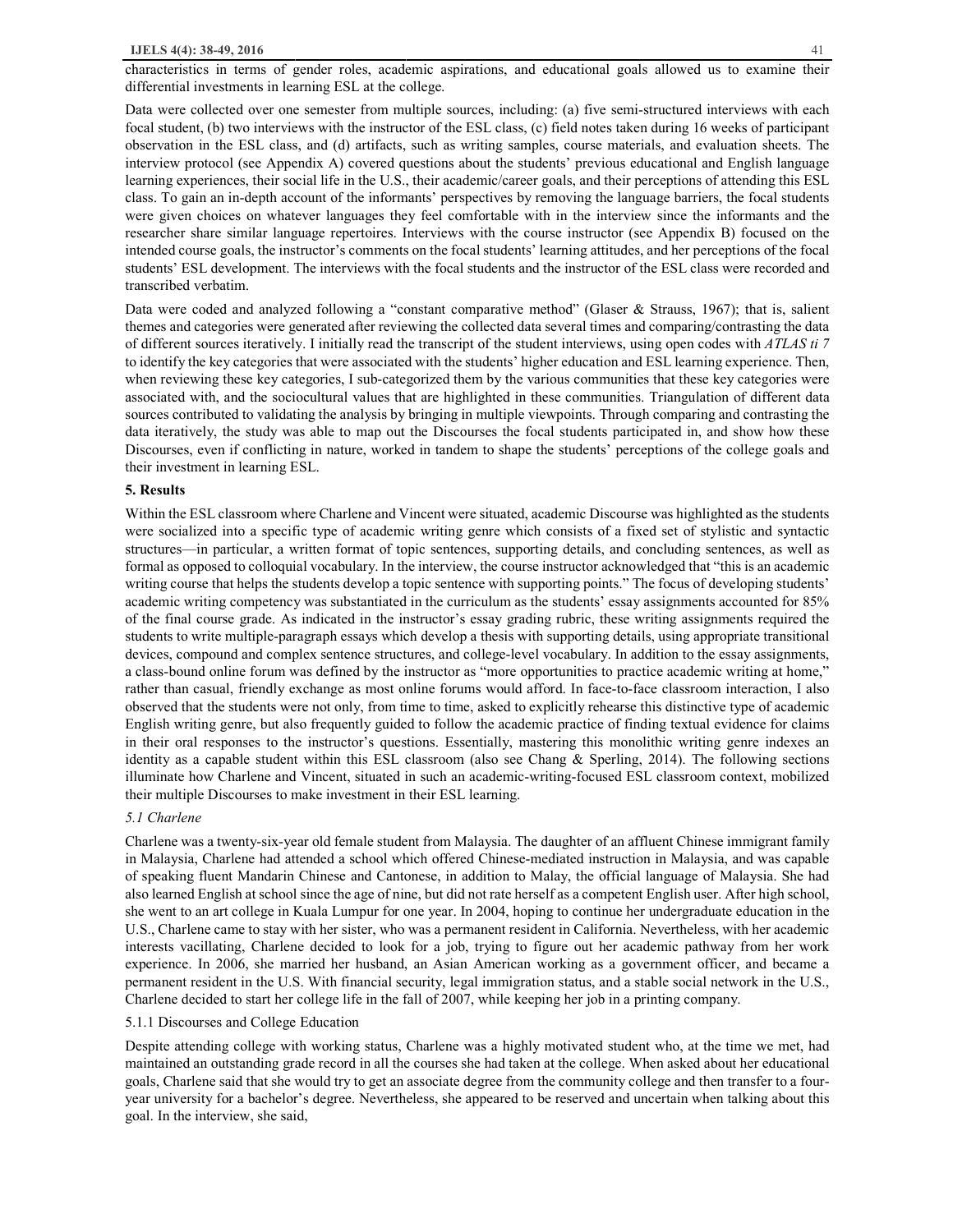characteristics in terms of gender roles, academic aspirations, and educational goals allowed us to examine their differential investments in learning ESL at the college.

Data were collected over one semester from multiple sources, including: (a) five semi-structured interviews with each focal student, (b) two interviews with the instructor of the ESL class, (c) field notes taken during 16 weeks of participant observation in the ESL class, and (d) artifacts, such as writing samples, course materials, and evaluation sheets. The interview protocol (see Appendix A) covered questions about the students' previous educational and English language learning experiences, their social life in the U.S., their academic/career goals, and their perceptions of attending this ESL class. To gain an in-depth account of the informants' perspectives by removing the language barriers, the focal students were given choices on whatever languages they feel comfortable with in the interview since the informants and the researcher share similar language repertoires. Interviews with the course instructor (see Appendix B) focused on the intended course goals, the instructor's comments on the focal students' learning attitudes, and her perceptions of the focal students' ESL development. The interviews with the focal students and the instructor of the ESL class were recorded and transcribed verbatim.

Data were coded and analyzed following a "constant comparative method" (Glaser & Strauss, 1967); that is, salient themes and categories were generated after reviewing the collected data several times and comparing/contrasting the data of different sources iteratively. I initially read the transcript of the student interviews, using open codes with *ATLAS ti 7* to identify the key categories that were associated with the students' higher education and ESL learning experience. Then, when reviewing these key categories, I sub-categorized them by the various communities that these key categories were associated with, and the sociocultural values that are highlighted in these communities. Triangulation of different data sources contributed to validating the analysis by bringing in multiple viewpoints. Through comparing and contrasting the data iteratively, the study was able to map out the Discourses the focal students participated in, and show how these Discourses, even if conflicting in nature, worked in tandem to shape the students' perceptions of the college goals and their investment in learning ESL.

#### **5. Results**

Within the ESL classroom where Charlene and Vincent were situated, academic Discourse was highlighted as the students were socialized into a specific type of academic writing genre which consists of a fixed set of stylistic and syntactic structures—in particular, a written format of topic sentences, supporting details, and concluding sentences, as well as formal as opposed to colloquial vocabulary. In the interview, the course instructor acknowledged that "this is an academic writing course that helps the students develop a topic sentence with supporting points." The focus of developing students' academic writing competency was substantiated in the curriculum as the students' essay assignments accounted for 85% of the final course grade. As indicated in the instructor's essay grading rubric, these writing assignments required the students to write multiple-paragraph essays which develop a thesis with supporting details, using appropriate transitional devices, compound and complex sentence structures, and college-level vocabulary. In addition to the essay assignments, a class-bound online forum was defined by the instructor as "more opportunities to practice academic writing at home," rather than casual, friendly exchange as most online forums would afford. In face-to-face classroom interaction, I also observed that the students were not only, from time to time, asked to explicitly rehearse this distinctive type of academic English writing genre, but also frequently guided to follow the academic practice of finding textual evidence for claims in their oral responses to the instructor's questions. Essentially, mastering this monolithic writing genre indexes an identity as a capable student within this ESL classroom (also see Chang & Sperling, 2014). The following sections illuminate how Charlene and Vincent, situated in such an academic-writing-focused ESL classroom context, mobilized their multiple Discourses to make investment in their ESL learning.

#### *5.1 Charlene*

Charlene was a twenty-six-year old female student from Malaysia. The daughter of an affluent Chinese immigrant family in Malaysia, Charlene had attended a school which offered Chinese-mediated instruction in Malaysia, and was capable of speaking fluent Mandarin Chinese and Cantonese, in addition to Malay, the official language of Malaysia. She had also learned English at school since the age of nine, but did not rate herself as a competent English user. After high school, she went to an art college in Kuala Lumpur for one year. In 2004, hoping to continue her undergraduate education in the U.S., Charlene came to stay with her sister, who was a permanent resident in California. Nevertheless, with her academic interests vacillating, Charlene decided to look for a job, trying to figure out her academic pathway from her work experience. In 2006, she married her husband, an Asian American working as a government officer, and became a permanent resident in the U.S. With financial security, legal immigration status, and a stable social network in the U.S., Charlene decided to start her college life in the fall of 2007, while keeping her job in a printing company.

## 5.1.1 Discourses and College Education

Despite attending college with working status, Charlene was a highly motivated student who, at the time we met, had maintained an outstanding grade record in all the courses she had taken at the college. When asked about her educational goals, Charlene said that she would try to get an associate degree from the community college and then transfer to a fouryear university for a bachelor's degree. Nevertheless, she appeared to be reserved and uncertain when talking about this goal. In the interview, she said,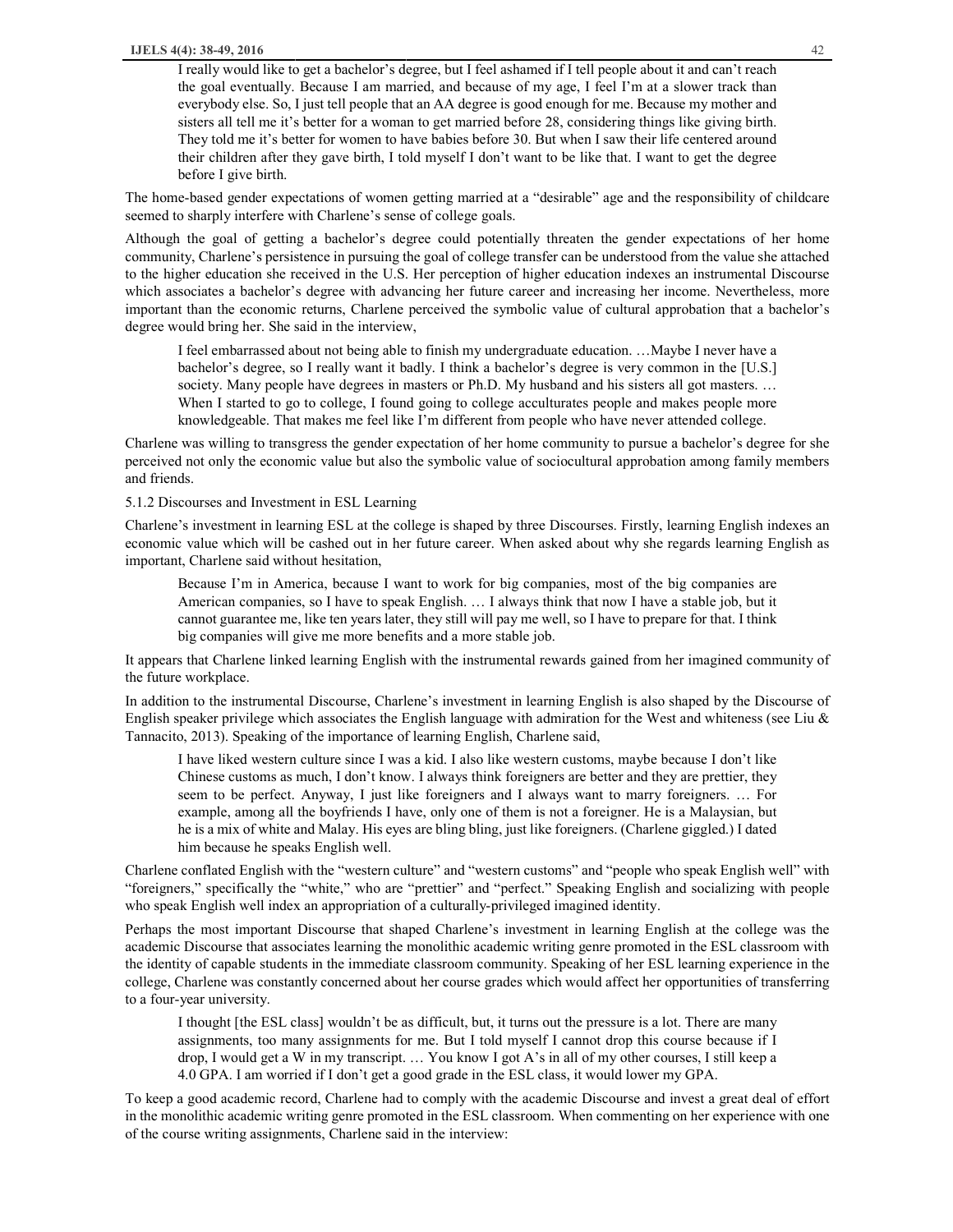I really would like to get a bachelor's degree, but I feel ashamed if I tell people about it and can't reach the goal eventually. Because I am married, and because of my age, I feel I'm at a slower track than everybody else. So, I just tell people that an AA degree is good enough for me. Because my mother and sisters all tell me it's better for a woman to get married before 28, considering things like giving birth. They told me it's better for women to have babies before 30. But when I saw their life centered around their children after they gave birth, I told myself I don't want to be like that. I want to get the degree before I give birth.

The home-based gender expectations of women getting married at a "desirable" age and the responsibility of childcare seemed to sharply interfere with Charlene's sense of college goals.

Although the goal of getting a bachelor's degree could potentially threaten the gender expectations of her home community, Charlene's persistence in pursuing the goal of college transfer can be understood from the value she attached to the higher education she received in the U.S. Her perception of higher education indexes an instrumental Discourse which associates a bachelor's degree with advancing her future career and increasing her income. Nevertheless, more important than the economic returns, Charlene perceived the symbolic value of cultural approbation that a bachelor's degree would bring her. She said in the interview,

I feel embarrassed about not being able to finish my undergraduate education. …Maybe I never have a bachelor's degree, so I really want it badly. I think a bachelor's degree is very common in the [U.S.] society. Many people have degrees in masters or Ph.D. My husband and his sisters all got masters. ... When I started to go to college, I found going to college acculturates people and makes people more knowledgeable. That makes me feel like I'm different from people who have never attended college.

Charlene was willing to transgress the gender expectation of her home community to pursue a bachelor's degree for she perceived not only the economic value but also the symbolic value of sociocultural approbation among family members and friends.

5.1.2 Discourses and Investment in ESL Learning

Charlene's investment in learning ESL at the college is shaped by three Discourses. Firstly, learning English indexes an economic value which will be cashed out in her future career. When asked about why she regards learning English as important, Charlene said without hesitation,

Because I'm in America, because I want to work for big companies, most of the big companies are American companies, so I have to speak English. … I always think that now I have a stable job, but it cannot guarantee me, like ten years later, they still will pay me well, so I have to prepare for that. I think big companies will give me more benefits and a more stable job.

It appears that Charlene linked learning English with the instrumental rewards gained from her imagined community of the future workplace.

In addition to the instrumental Discourse, Charlene's investment in learning English is also shaped by the Discourse of English speaker privilege which associates the English language with admiration for the West and whiteness (see Liu  $\&$ Tannacito, 2013). Speaking of the importance of learning English, Charlene said,

I have liked western culture since I was a kid. I also like western customs, maybe because I don't like Chinese customs as much, I don't know. I always think foreigners are better and they are prettier, they seem to be perfect. Anyway, I just like foreigners and I always want to marry foreigners. … For example, among all the boyfriends I have, only one of them is not a foreigner. He is a Malaysian, but he is a mix of white and Malay. His eyes are bling bling, just like foreigners. (Charlene giggled.) I dated him because he speaks English well.

Charlene conflated English with the "western culture" and "western customs" and "people who speak English well" with "foreigners," specifically the "white," who are "prettier" and "perfect." Speaking English and socializing with people who speak English well index an appropriation of a culturally-privileged imagined identity.

Perhaps the most important Discourse that shaped Charlene's investment in learning English at the college was the academic Discourse that associates learning the monolithic academic writing genre promoted in the ESL classroom with the identity of capable students in the immediate classroom community. Speaking of her ESL learning experience in the college, Charlene was constantly concerned about her course grades which would affect her opportunities of transferring to a four-year university.

I thought [the ESL class] wouldn't be as difficult, but, it turns out the pressure is a lot. There are many assignments, too many assignments for me. But I told myself I cannot drop this course because if I drop, I would get a W in my transcript. … You know I got A's in all of my other courses, I still keep a 4.0 GPA. I am worried if I don't get a good grade in the ESL class, it would lower my GPA.

To keep a good academic record, Charlene had to comply with the academic Discourse and invest a great deal of effort in the monolithic academic writing genre promoted in the ESL classroom. When commenting on her experience with one of the course writing assignments, Charlene said in the interview: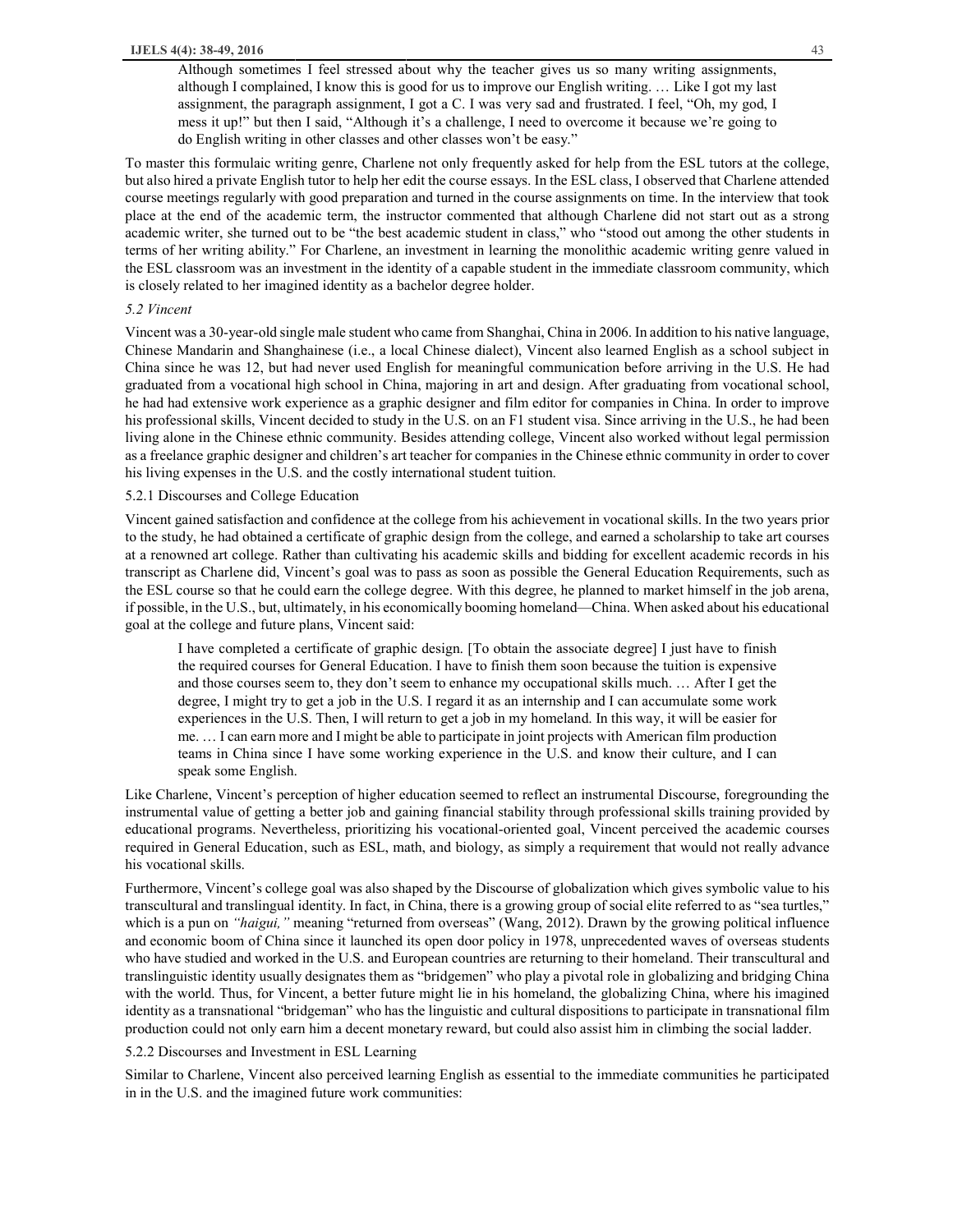Although sometimes I feel stressed about why the teacher gives us so many writing assignments, although I complained, I know this is good for us to improve our English writing. … Like I got my last assignment, the paragraph assignment, I got a C. I was very sad and frustrated. I feel, "Oh, my god, I mess it up!" but then I said, "Although it's a challenge, I need to overcome it because we're going to do English writing in other classes and other classes won't be easy."

To master this formulaic writing genre, Charlene not only frequently asked for help from the ESL tutors at the college, but also hired a private English tutor to help her edit the course essays. In the ESL class, I observed that Charlene attended course meetings regularly with good preparation and turned in the course assignments on time. In the interview that took place at the end of the academic term, the instructor commented that although Charlene did not start out as a strong academic writer, she turned out to be "the best academic student in class," who "stood out among the other students in terms of her writing ability." For Charlene, an investment in learning the monolithic academic writing genre valued in the ESL classroom was an investment in the identity of a capable student in the immediate classroom community, which is closely related to her imagined identity as a bachelor degree holder.

# *5.2 Vincent*

Vincent was a 30-year-old single male student who came from Shanghai, China in 2006. In addition to his native language, Chinese Mandarin and Shanghainese (i.e., a local Chinese dialect), Vincent also learned English as a school subject in China since he was 12, but had never used English for meaningful communication before arriving in the U.S. He had graduated from a vocational high school in China, majoring in art and design. After graduating from vocational school, he had had extensive work experience as a graphic designer and film editor for companies in China. In order to improve his professional skills, Vincent decided to study in the U.S. on an F1 student visa. Since arriving in the U.S., he had been living alone in the Chinese ethnic community. Besides attending college, Vincent also worked without legal permission as a freelance graphic designer and children's art teacher for companies in the Chinese ethnic community in order to cover his living expenses in the U.S. and the costly international student tuition.

#### 5.2.1 Discourses and College Education

Vincent gained satisfaction and confidence at the college from his achievement in vocational skills. In the two years prior to the study, he had obtained a certificate of graphic design from the college, and earned a scholarship to take art courses at a renowned art college. Rather than cultivating his academic skills and bidding for excellent academic records in his transcript as Charlene did, Vincent's goal was to pass as soon as possible the General Education Requirements, such as the ESL course so that he could earn the college degree. With this degree, he planned to market himself in the job arena, if possible, in the U.S., but, ultimately, in his economically booming homeland—China. When asked about his educational goal at the college and future plans, Vincent said:

I have completed a certificate of graphic design. [To obtain the associate degree] I just have to finish the required courses for General Education. I have to finish them soon because the tuition is expensive and those courses seem to, they don't seem to enhance my occupational skills much. … After I get the degree, I might try to get a job in the U.S. I regard it as an internship and I can accumulate some work experiences in the U.S. Then, I will return to get a job in my homeland. In this way, it will be easier for me. … I can earn more and I might be able to participate in joint projects with American film production teams in China since I have some working experience in the U.S. and know their culture, and I can speak some English.

Like Charlene, Vincent's perception of higher education seemed to reflect an instrumental Discourse, foregrounding the instrumental value of getting a better job and gaining financial stability through professional skills training provided by educational programs. Nevertheless, prioritizing his vocational-oriented goal, Vincent perceived the academic courses required in General Education, such as ESL, math, and biology, as simply a requirement that would not really advance his vocational skills.

Furthermore, Vincent's college goal was also shaped by the Discourse of globalization which gives symbolic value to his transcultural and translingual identity. In fact, in China, there is a growing group of social elite referred to as "sea turtles," which is a pun on *"haigui,"* meaning "returned from overseas" (Wang, 2012). Drawn by the growing political influence and economic boom of China since it launched its open door policy in 1978, unprecedented waves of overseas students who have studied and worked in the U.S. and European countries are returning to their homeland. Their transcultural and translinguistic identity usually designates them as "bridgemen" who play a pivotal role in globalizing and bridging China with the world. Thus, for Vincent, a better future might lie in his homeland, the globalizing China, where his imagined identity as a transnational "bridgeman" who has the linguistic and cultural dispositions to participate in transnational film production could not only earn him a decent monetary reward, but could also assist him in climbing the social ladder.

## 5.2.2 Discourses and Investment in ESL Learning

Similar to Charlene, Vincent also perceived learning English as essential to the immediate communities he participated in in the U.S. and the imagined future work communities: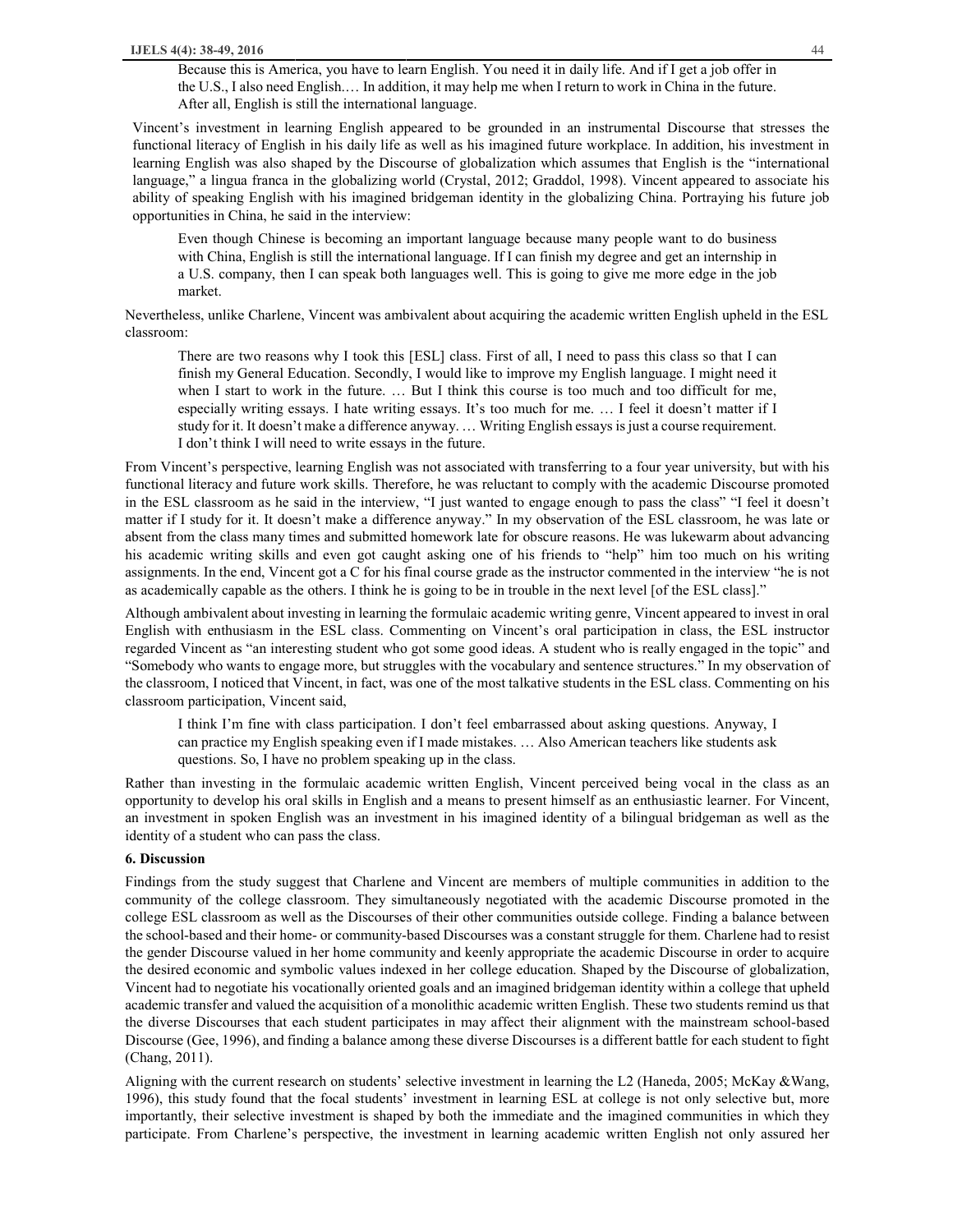Because this is America, you have to learn English. You need it in daily life. And if I get a job offer in the U.S., I also need English.… In addition, it may help me when I return to work in China in the future. After all, English is still the international language.

Vincent's investment in learning English appeared to be grounded in an instrumental Discourse that stresses the functional literacy of English in his daily life as well as his imagined future workplace. In addition, his investment in learning English was also shaped by the Discourse of globalization which assumes that English is the "international language," a lingua franca in the globalizing world (Crystal, 2012; Graddol, 1998). Vincent appeared to associate his ability of speaking English with his imagined bridgeman identity in the globalizing China. Portraying his future job opportunities in China, he said in the interview:

Even though Chinese is becoming an important language because many people want to do business with China, English is still the international language. If I can finish my degree and get an internship in a U.S. company, then I can speak both languages well. This is going to give me more edge in the job market.

Nevertheless, unlike Charlene, Vincent was ambivalent about acquiring the academic written English upheld in the ESL classroom:

There are two reasons why I took this [ESL] class. First of all, I need to pass this class so that I can finish my General Education. Secondly, I would like to improve my English language. I might need it when I start to work in the future. … But I think this course is too much and too difficult for me, especially writing essays. I hate writing essays. It's too much for me. … I feel it doesn't matter if I study for it. It doesn't make a difference anyway. … Writing English essays is just a course requirement. I don't think I will need to write essays in the future.

From Vincent's perspective, learning English was not associated with transferring to a four year university, but with his functional literacy and future work skills. Therefore, he was reluctant to comply with the academic Discourse promoted in the ESL classroom as he said in the interview, "I just wanted to engage enough to pass the class" "I feel it doesn't matter if I study for it. It doesn't make a difference anyway." In my observation of the ESL classroom, he was late or absent from the class many times and submitted homework late for obscure reasons. He was lukewarm about advancing his academic writing skills and even got caught asking one of his friends to "help" him too much on his writing assignments. In the end, Vincent got a C for his final course grade as the instructor commented in the interview "he is not as academically capable as the others. I think he is going to be in trouble in the next level [of the ESL class]."

Although ambivalent about investing in learning the formulaic academic writing genre, Vincent appeared to invest in oral English with enthusiasm in the ESL class. Commenting on Vincent's oral participation in class, the ESL instructor regarded Vincent as "an interesting student who got some good ideas. A student who is really engaged in the topic" and "Somebody who wants to engage more, but struggles with the vocabulary and sentence structures." In my observation of the classroom, I noticed that Vincent, in fact, was one of the most talkative students in the ESL class. Commenting on his classroom participation, Vincent said,

I think I'm fine with class participation. I don't feel embarrassed about asking questions. Anyway, I can practice my English speaking even if I made mistakes. … Also American teachers like students ask questions. So, I have no problem speaking up in the class.

Rather than investing in the formulaic academic written English, Vincent perceived being vocal in the class as an opportunity to develop his oral skills in English and a means to present himself as an enthusiastic learner. For Vincent, an investment in spoken English was an investment in his imagined identity of a bilingual bridgeman as well as the identity of a student who can pass the class.

## **6. Discussion**

Findings from the study suggest that Charlene and Vincent are members of multiple communities in addition to the community of the college classroom. They simultaneously negotiated with the academic Discourse promoted in the college ESL classroom as well as the Discourses of their other communities outside college. Finding a balance between the school-based and their home- or community-based Discourses was a constant struggle for them. Charlene had to resist the gender Discourse valued in her home community and keenly appropriate the academic Discourse in order to acquire the desired economic and symbolic values indexed in her college education. Shaped by the Discourse of globalization, Vincent had to negotiate his vocationally oriented goals and an imagined bridgeman identity within a college that upheld academic transfer and valued the acquisition of a monolithic academic written English. These two students remind us that the diverse Discourses that each student participates in may affect their alignment with the mainstream school-based Discourse (Gee, 1996), and finding a balance among these diverse Discourses is a different battle for each student to fight (Chang, 2011).

Aligning with the current research on students' selective investment in learning the L2 (Haneda, 2005; McKay &Wang, 1996), this study found that the focal students' investment in learning ESL at college is not only selective but, more importantly, their selective investment is shaped by both the immediate and the imagined communities in which they participate. From Charlene's perspective, the investment in learning academic written English not only assured her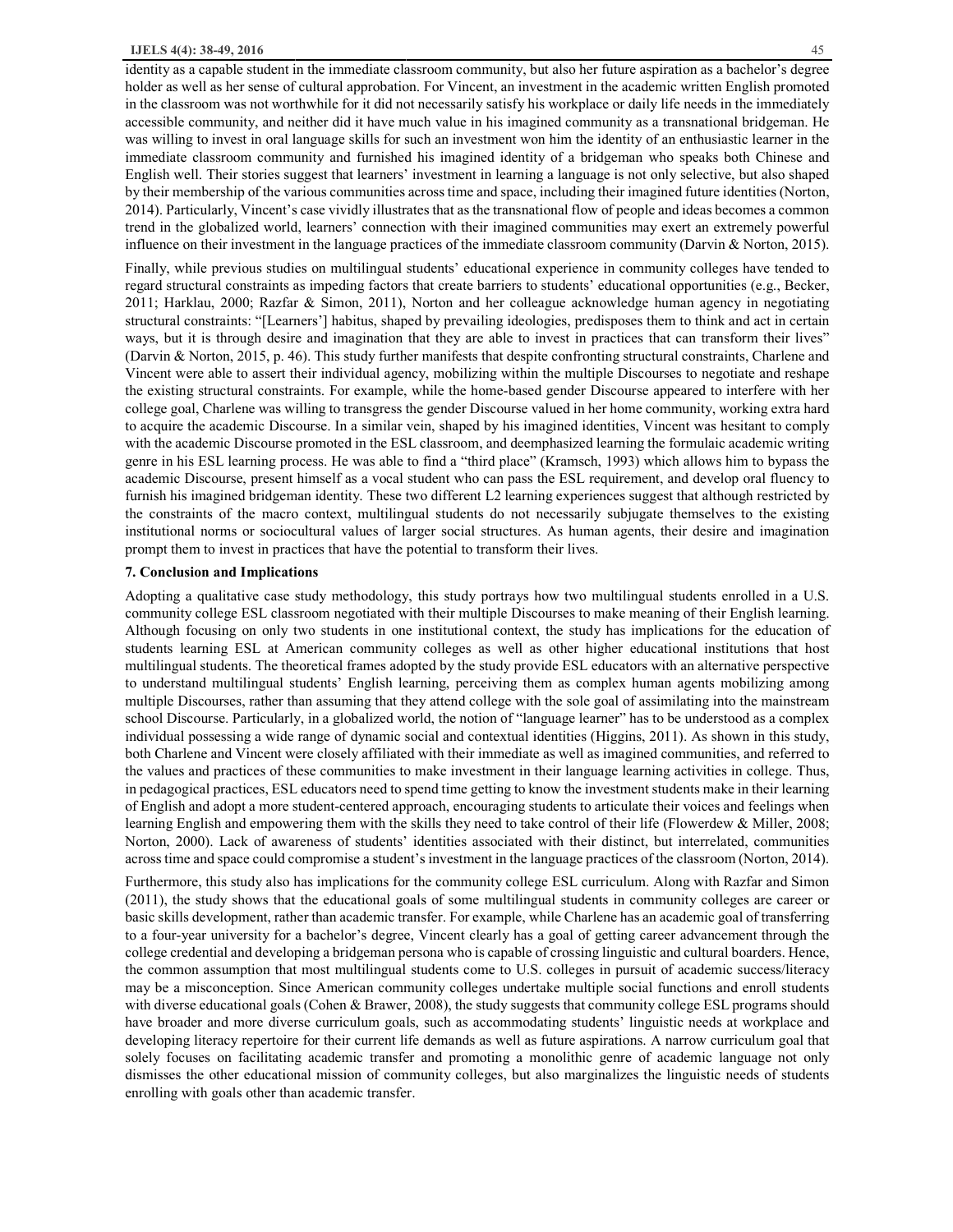identity as a capable student in the immediate classroom community, but also her future aspiration as a bachelor's degree holder as well as her sense of cultural approbation. For Vincent, an investment in the academic written English promoted in the classroom was not worthwhile for it did not necessarily satisfy his workplace or daily life needs in the immediately accessible community, and neither did it have much value in his imagined community as a transnational bridgeman. He was willing to invest in oral language skills for such an investment won him the identity of an enthusiastic learner in the immediate classroom community and furnished his imagined identity of a bridgeman who speaks both Chinese and English well. Their stories suggest that learners' investment in learning a language is not only selective, but also shaped by their membership of the various communities across time and space, including their imagined future identities (Norton, 2014). Particularly, Vincent's case vividly illustrates that as the transnational flow of people and ideas becomes a common trend in the globalized world, learners' connection with their imagined communities may exert an extremely powerful influence on their investment in the language practices of the immediate classroom community (Darvin & Norton, 2015).

Finally, while previous studies on multilingual students' educational experience in community colleges have tended to regard structural constraints as impeding factors that create barriers to students' educational opportunities (e.g., Becker, 2011; Harklau, 2000; Razfar & Simon, 2011), Norton and her colleague acknowledge human agency in negotiating structural constraints: "[Learners'] habitus, shaped by prevailing ideologies, predisposes them to think and act in certain ways, but it is through desire and imagination that they are able to invest in practices that can transform their lives" (Darvin & Norton, 2015, p. 46). This study further manifests that despite confronting structural constraints, Charlene and Vincent were able to assert their individual agency, mobilizing within the multiple Discourses to negotiate and reshape the existing structural constraints. For example, while the home-based gender Discourse appeared to interfere with her college goal, Charlene was willing to transgress the gender Discourse valued in her home community, working extra hard to acquire the academic Discourse. In a similar vein, shaped by his imagined identities, Vincent was hesitant to comply with the academic Discourse promoted in the ESL classroom, and deemphasized learning the formulaic academic writing genre in his ESL learning process. He was able to find a "third place" (Kramsch, 1993) which allows him to bypass the academic Discourse, present himself as a vocal student who can pass the ESL requirement, and develop oral fluency to furnish his imagined bridgeman identity. These two different L2 learning experiences suggest that although restricted by the constraints of the macro context, multilingual students do not necessarily subjugate themselves to the existing institutional norms or sociocultural values of larger social structures. As human agents, their desire and imagination prompt them to invest in practices that have the potential to transform their lives.

# **7. Conclusion and Implications**

Adopting a qualitative case study methodology, this study portrays how two multilingual students enrolled in a U.S. community college ESL classroom negotiated with their multiple Discourses to make meaning of their English learning. Although focusing on only two students in one institutional context, the study has implications for the education of students learning ESL at American community colleges as well as other higher educational institutions that host multilingual students. The theoretical frames adopted by the study provide ESL educators with an alternative perspective to understand multilingual students' English learning, perceiving them as complex human agents mobilizing among multiple Discourses, rather than assuming that they attend college with the sole goal of assimilating into the mainstream school Discourse. Particularly, in a globalized world, the notion of "language learner" has to be understood as a complex individual possessing a wide range of dynamic social and contextual identities (Higgins, 2011). As shown in this study, both Charlene and Vincent were closely affiliated with their immediate as well as imagined communities, and referred to the values and practices of these communities to make investment in their language learning activities in college. Thus, in pedagogical practices, ESL educators need to spend time getting to know the investment students make in their learning of English and adopt a more student-centered approach, encouraging students to articulate their voices and feelings when learning English and empowering them with the skills they need to take control of their life (Flowerdew & Miller, 2008; Norton, 2000). Lack of awareness of students' identities associated with their distinct, but interrelated, communities across time and space could compromise a student's investment in the language practices of the classroom (Norton, 2014).

Furthermore, this study also has implications for the community college ESL curriculum. Along with Razfar and Simon (2011), the study shows that the educational goals of some multilingual students in community colleges are career or basic skills development, rather than academic transfer. For example, while Charlene has an academic goal of transferring to a four-year university for a bachelor's degree, Vincent clearly has a goal of getting career advancement through the college credential and developing a bridgeman persona who is capable of crossing linguistic and cultural boarders. Hence, the common assumption that most multilingual students come to U.S. colleges in pursuit of academic success/literacy may be a misconception. Since American community colleges undertake multiple social functions and enroll students with diverse educational goals (Cohen & Brawer, 2008), the study suggests that community college ESL programs should have broader and more diverse curriculum goals, such as accommodating students' linguistic needs at workplace and developing literacy repertoire for their current life demands as well as future aspirations. A narrow curriculum goal that solely focuses on facilitating academic transfer and promoting a monolithic genre of academic language not only dismisses the other educational mission of community colleges, but also marginalizes the linguistic needs of students enrolling with goals other than academic transfer.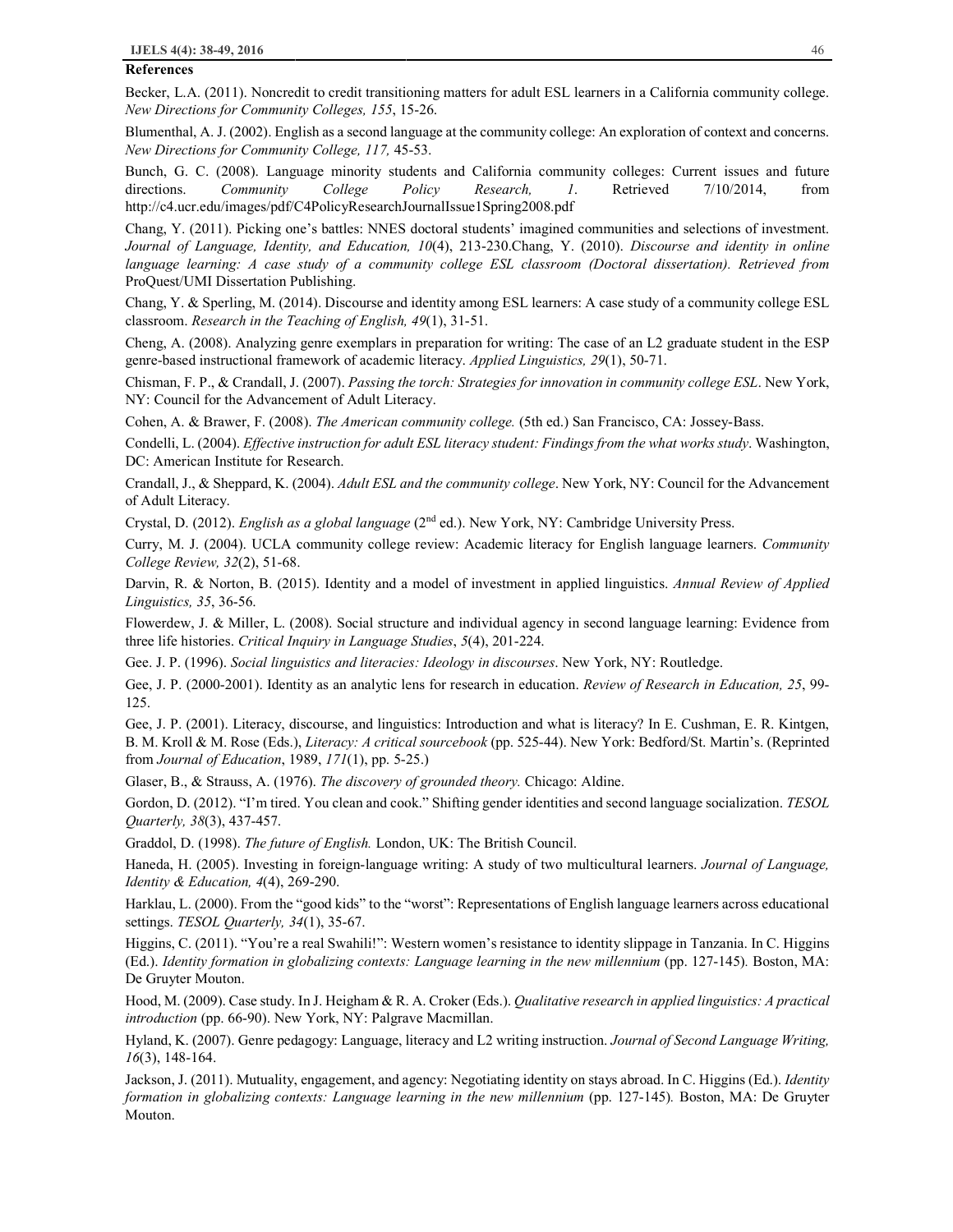#### **References**

Becker, L.A. (2011). Noncredit to credit transitioning matters for adult ESL learners in a California community college. *New Directions for Community Colleges, 155*, 15-26.

Blumenthal, A. J. (2002). English as a second language at the community college: An exploration of context and concerns. *New Directions for Community College, 117,* 45-53.

Bunch, G. C. (2008). Language minority students and California community colleges: Current issues and future directions. *Community College Policy Research, 1*. Retrieved 7/10/2014, from http://c4.ucr.edu/images/pdf/C4PolicyResearchJournalIssue1Spring2008.pdf

Chang, Y. (2011). Picking one's battles: NNES doctoral students' imagined communities and selections of investment. *Journal of Language, Identity, and Education, 10*(4), 213-230.Chang, Y. (2010). *Discourse and identity in online language learning: A case study of a community college ESL classroom (Doctoral dissertation). Retrieved from*  ProQuest/UMI Dissertation Publishing.

Chang, Y. & Sperling, M. (2014). Discourse and identity among ESL learners: A case study of a community college ESL classroom. *Research in the Teaching of English, 49*(1), 31-51.

Cheng, A. (2008). Analyzing genre exemplars in preparation for writing: The case of an L2 graduate student in the ESP genre-based instructional framework of academic literacy. *Applied Linguistics, 29*(1), 50-71.

Chisman, F. P., & Crandall, J. (2007). *Passing the torch: Strategies for innovation in community college ESL*. New York, NY: Council for the Advancement of Adult Literacy.

Cohen, A. & Brawer, F. (2008). *The American community college.* (5th ed.) San Francisco, CA: Jossey-Bass.

Condelli, L. (2004). *Effective instruction for adult ESL literacy student: Findings from the what works study*. Washington, DC: American Institute for Research.

Crandall, J., & Sheppard, K. (2004). *Adult ESL and the community college*. New York, NY: Council for the Advancement of Adult Literacy.

Crystal, D. (2012). *English as a global language* (2nd ed.). New York, NY: Cambridge University Press.

Curry, M. J. (2004). UCLA community college review: Academic literacy for English language learners. *Community College Review, 32*(2), 51-68.

Darvin, R. & Norton, B. (2015). Identity and a model of investment in applied linguistics. *Annual Review of Applied Linguistics, 35*, 36-56.

Flowerdew, J. & Miller, L. (2008). Social structure and individual agency in second language learning: Evidence from three life histories. *Critical Inquiry in Language Studies*, *5*(4), 201-224.

Gee. J. P. (1996). *Social linguistics and literacies: Ideology in discourses*. New York, NY: Routledge.

Gee, J. P. (2000-2001). Identity as an analytic lens for research in education. *Review of Research in Education, 25*, 99- 125.

Gee, J. P. (2001). Literacy, discourse, and linguistics: Introduction and what is literacy? In E. Cushman, E. R. Kintgen, B. M. Kroll & M. Rose (Eds.), *Literacy: A critical sourcebook* (pp. 525-44). New York: Bedford/St. Martin's. (Reprinted from *Journal of Education*, 1989, *171*(1), pp. 5-25.)

Glaser, B., & Strauss, A. (1976). *The discovery of grounded theory.* Chicago: Aldine.

Gordon, D. (2012). "I'm tired. You clean and cook." Shifting gender identities and second language socialization. *TESOL Quarterly, 38*(3), 437-457.

Graddol, D. (1998). *The future of English.* London, UK: The British Council.

Haneda, H. (2005). Investing in foreign-language writing: A study of two multicultural learners. *Journal of Language, Identity & Education, 4*(4), 269-290.

Harklau, L. (2000). From the "good kids" to the "worst": Representations of English language learners across educational settings. *TESOL Quarterly, 34*(1), 35-67.

Higgins, C. (2011). "You're a real Swahili!": Western women's resistance to identity slippage in Tanzania. In C. Higgins (Ed.). *Identity formation in globalizing contexts: Language learning in the new millennium* (pp. 127-145)*.* Boston, MA: De Gruyter Mouton.

Hood, M. (2009). Case study. In J. Heigham & R. A. Croker (Eds.). *Qualitative research in applied linguistics: A practical introduction* (pp. 66-90). New York, NY: Palgrave Macmillan.

Hyland, K. (2007). Genre pedagogy: Language, literacy and L2 writing instruction. *Journal of Second Language Writing, 16*(3), 148-164.

Jackson, J. (2011). Mutuality, engagement, and agency: Negotiating identity on stays abroad. In C. Higgins (Ed.). *Identity formation in globalizing contexts: Language learning in the new millennium* (pp. 127-145)*.* Boston, MA: De Gruyter Mouton.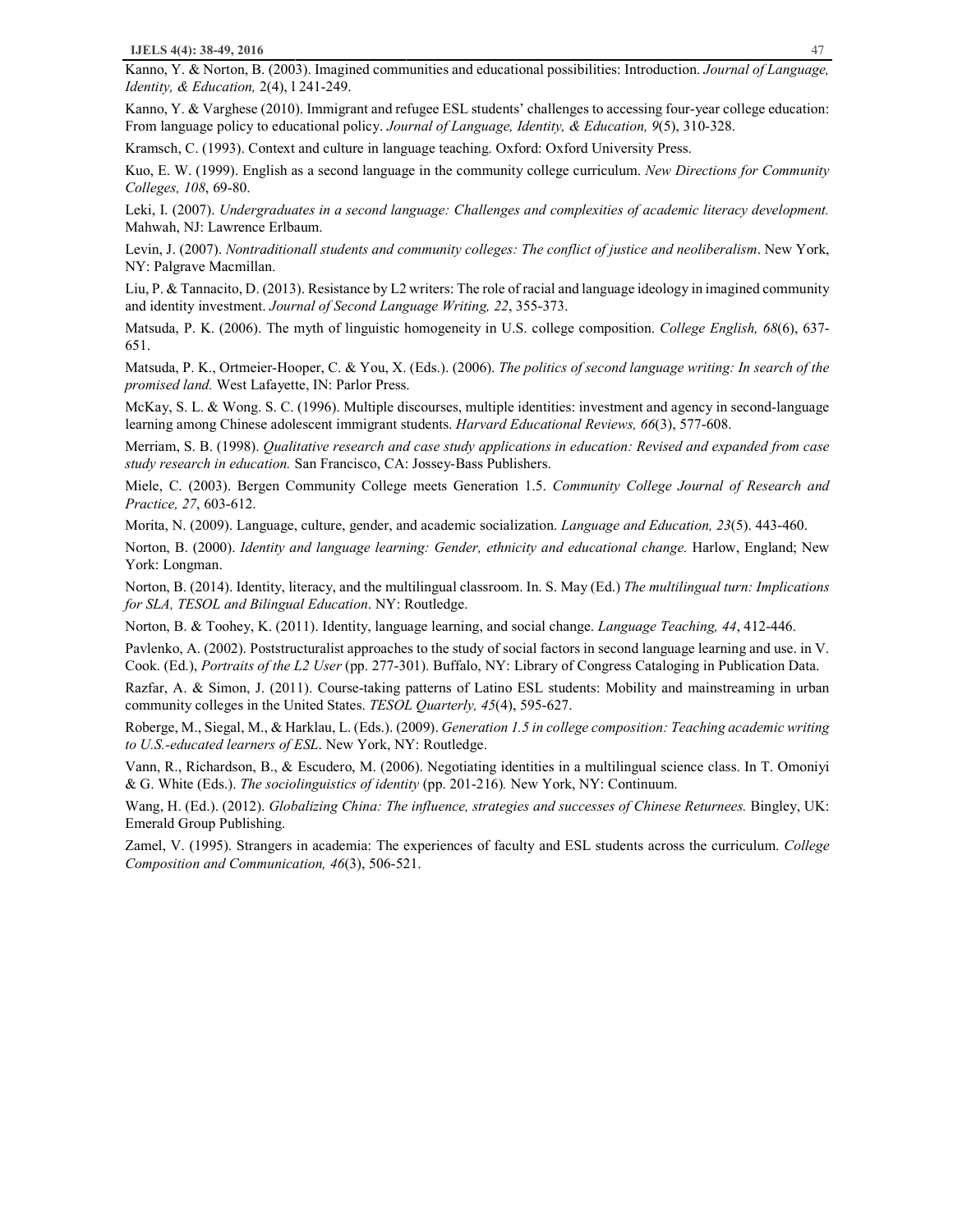Kanno, Y. & Norton, B. (2003). Imagined communities and educational possibilities: Introduction. *Journal of Language, Identity, & Education,* 2(4), l 241-249.

Kanno, Y. & Varghese (2010). Immigrant and refugee ESL students' challenges to accessing four-year college education: From language policy to educational policy. *Journal of Language, Identity, & Education, 9*(5), 310-328.

Kramsch, C. (1993). Context and culture in language teaching. Oxford: Oxford University Press.

Kuo, E. W. (1999). English as a second language in the community college curriculum. *New Directions for Community Colleges, 108*, 69-80.

Leki, I. (2007). *Undergraduates in a second language: Challenges and complexities of academic literacy development.* Mahwah, NJ: Lawrence Erlbaum.

Levin, J. (2007). *Nontraditionall students and community colleges: The conflict of justice and neoliberalism*. New York, NY: Palgrave Macmillan.

Liu, P. & Tannacito, D. (2013). Resistance by L2 writers: The role of racial and language ideology in imagined community and identity investment. *Journal of Second Language Writing, 22*, 355-373.

Matsuda, P. K. (2006). The myth of linguistic homogeneity in U.S. college composition. *College English, 68*(6), 637- 651.

Matsuda, P. K., Ortmeier-Hooper, C. & You, X. (Eds.). (2006). *The politics of second language writing: In search of the promised land.* West Lafayette, IN: Parlor Press.

McKay, S. L. & Wong. S. C. (1996). Multiple discourses, multiple identities: investment and agency in second-language learning among Chinese adolescent immigrant students. *Harvard Educational Reviews, 66*(3), 577-608.

Merriam, S. B. (1998). *Qualitative research and case study applications in education: Revised and expanded from case study research in education.* San Francisco, CA: Jossey-Bass Publishers.

Miele, C. (2003). Bergen Community College meets Generation 1.5. *Community College Journal of Research and Practice, 27*, 603-612.

Morita, N. (2009). Language, culture, gender, and academic socialization. *Language and Education, 23*(5). 443-460.

Norton, B. (2000). *Identity and language learning: Gender, ethnicity and educational change.* Harlow, England; New York: Longman.

Norton, B. (2014). Identity, literacy, and the multilingual classroom. In. S. May (Ed.) *The multilingual turn: Implications for SLA, TESOL and Bilingual Education*. NY: Routledge.

Norton, B. & Toohey, K. (2011). Identity, language learning, and social change. *Language Teaching, 44*, 412-446.

Pavlenko, A. (2002). Poststructuralist approaches to the study of social factors in second language learning and use. in V. Cook. (Ed.), *Portraits of the L2 User* (pp. 277-301). Buffalo, NY: Library of Congress Cataloging in Publication Data.

Razfar, A. & Simon, J. (2011). Course-taking patterns of Latino ESL students: Mobility and mainstreaming in urban community colleges in the United States. *TESOL Quarterly, 45*(4), 595-627.

Roberge, M., Siegal, M., & Harklau, L. (Eds.). (2009). *Generation 1.5 in college composition: Teaching academic writing to U.S.-educated learners of ESL*. New York, NY: Routledge.

Vann, R., Richardson, B., & Escudero, M. (2006). Negotiating identities in a multilingual science class. In T. Omoniyi & G. White (Eds.). *The sociolinguistics of identity* (pp. 201-216)*.* New York, NY: Continuum.

Wang, H. (Ed.). (2012). *Globalizing China: The influence, strategies and successes of Chinese Returnees.* Bingley, UK: Emerald Group Publishing.

Zamel, V. (1995). Strangers in academia: The experiences of faculty and ESL students across the curriculum. *College Composition and Communication, 46*(3), 506-521.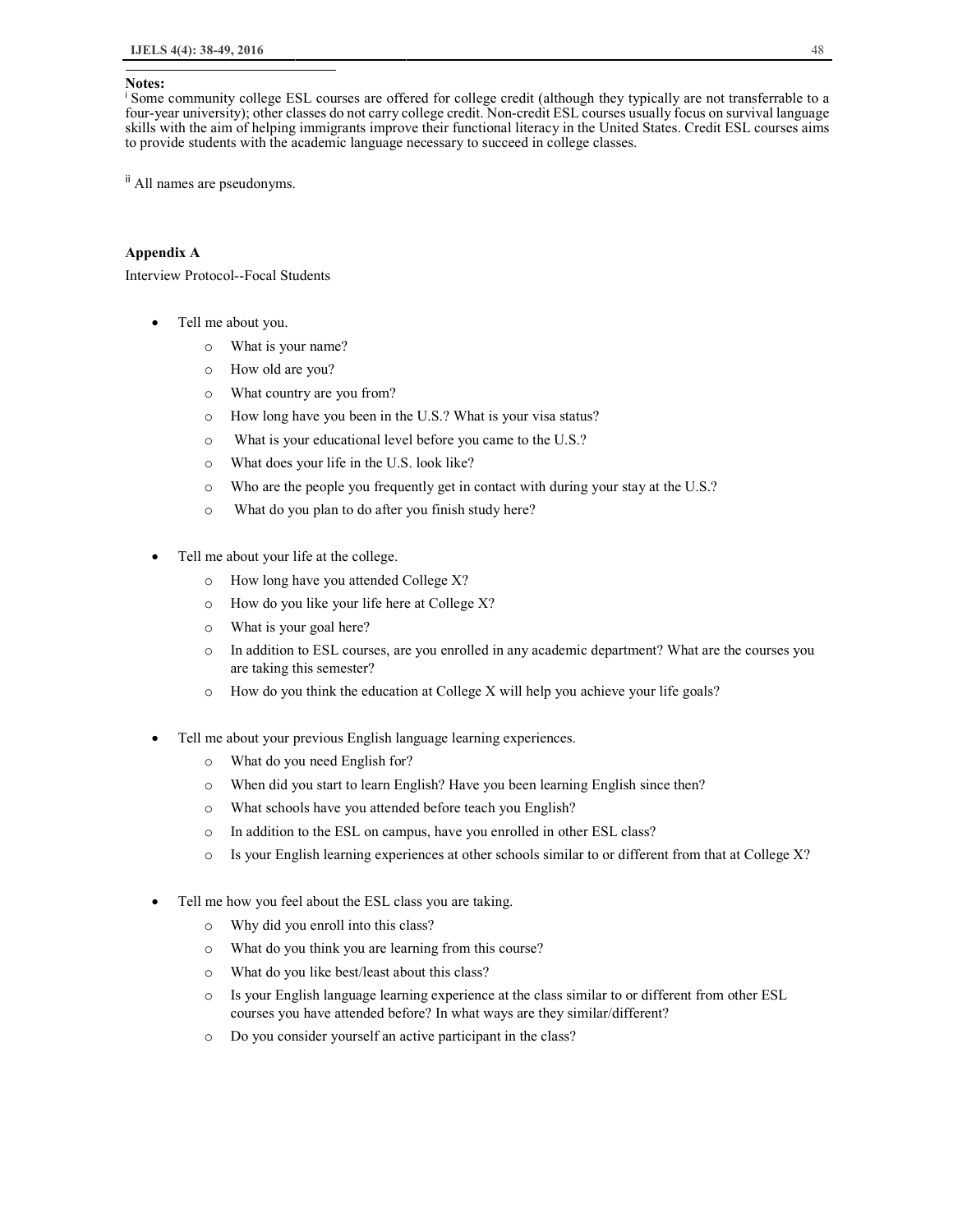#### **Notes:**

1

<sup>i</sup> Some community college ESL courses are offered for college credit (although they typically are not transferrable to a four-year university); other classes do not carry college credit. Non-credit ESL courses usually focus on survival language skills with the aim of helping immigrants improve their functional literacy in the United States. Credit ESL courses aims to provide students with the academic language necessary to succeed in college classes.

ii All names are pseudonyms.

### **Appendix A**

Interview Protocol--Focal Students

- Tell me about you.
	- o What is your name?
	- o How old are you?
	- o What country are you from?
	- o How long have you been in the U.S.? What is your visa status?
	- o What is your educational level before you came to the U.S.?
	- o What does your life in the U.S. look like?
	- o Who are the people you frequently get in contact with during your stay at the U.S.?
	- o What do you plan to do after you finish study here?
- Tell me about your life at the college.
	- o How long have you attended College X?
	- o How do you like your life here at College X?
	- o What is your goal here?
	- o In addition to ESL courses, are you enrolled in any academic department? What are the courses you are taking this semester?
	- o How do you think the education at College X will help you achieve your life goals?
- Tell me about your previous English language learning experiences.
	- o What do you need English for?
	- o When did you start to learn English? Have you been learning English since then?
	- o What schools have you attended before teach you English?
	- o In addition to the ESL on campus, have you enrolled in other ESL class?
	- o Is your English learning experiences at other schools similar to or different from that at College X?
- Tell me how you feel about the ESL class you are taking.
	- o Why did you enroll into this class?
	- o What do you think you are learning from this course?
	- o What do you like best/least about this class?
	- o Is your English language learning experience at the class similar to or different from other ESL courses you have attended before? In what ways are they similar/different?
	- o Do you consider yourself an active participant in the class?